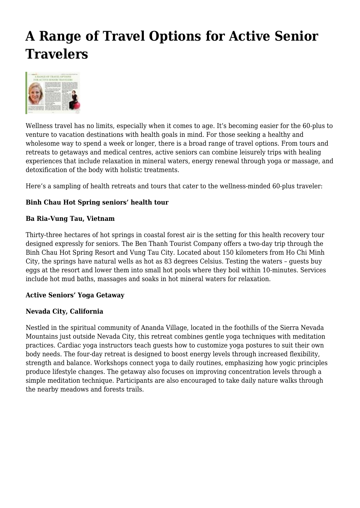# **A Range of Travel Options for Active Senior Travelers**



Wellness travel has no limits, especially when it comes to age. It's becoming easier for the 60-plus to venture to vacation destinations with health goals in mind. For those seeking a healthy and wholesome way to spend a week or longer, there is a broad range of travel options. From tours and retreats to getaways and medical centres, active seniors can combine leisurely trips with healing experiences that include relaxation in mineral waters, energy renewal through yoga or massage, and detoxification of the body with holistic treatments.

Here's a sampling of health retreats and tours that cater to the wellness-minded 60-plus traveler:

#### **Binh Chau Hot Spring seniors' health tour**

#### **Ba Ria-Vung Tau, Vietnam**

Thirty-three hectares of hot springs in coastal forest air is the setting for this health recovery tour designed expressly for seniors. The Ben Thanh Tourist Company offers a two-day trip through the Binh Chau Hot Spring Resort and Vung Tau City. Located about 150 kilometers from Ho Chi Minh City, the springs have natural wells as hot as 83 degrees Celsius. Testing the waters – guests buy eggs at the resort and lower them into small hot pools where they boil within 10-minutes. Services include hot mud baths, massages and soaks in hot mineral waters for relaxation.

#### **Active Seniors' Yoga Getaway**

#### **Nevada City, California**

Nestled in the spiritual community of Ananda Village, located in the foothills of the Sierra Nevada Mountains just outside Nevada City, this retreat combines gentle yoga techniques with meditation practices. Cardiac yoga instructors teach guests how to customize yoga postures to suit their own body needs. The four-day retreat is designed to boost energy levels through increased flexibility, strength and balance. Workshops connect yoga to daily routines, emphasizing how yogic principles produce lifestyle changes. The getaway also focuses on improving concentration levels through a simple meditation technique. Participants are also encouraged to take daily nature walks through the nearby meadows and forests trails.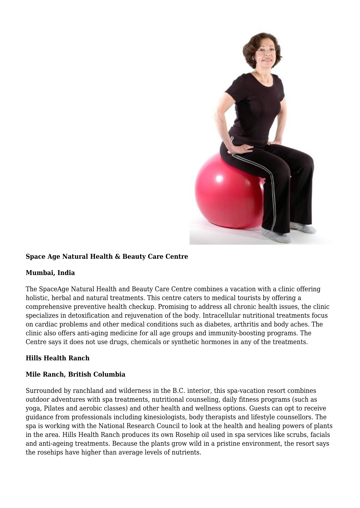

#### **Space Age Natural Health & Beauty Care Centre**

#### **Mumbai, India**

The SpaceAge Natural Health and Beauty Care Centre combines a vacation with a clinic offering holistic, herbal and natural treatments. This centre caters to medical tourists by offering a comprehensive preventive health checkup. Promising to address all chronic health issues, the clinic specializes in detoxification and rejuvenation of the body. Intracellular nutritional treatments focus on cardiac problems and other medical conditions such as diabetes, arthritis and body aches. The clinic also offers anti-aging medicine for all age groups and immunity-boosting programs. The Centre says it does not use drugs, chemicals or synthetic hormones in any of the treatments.

#### **Hills Health Ranch**

#### **Mile Ranch, British Columbia**

Surrounded by ranchland and wilderness in the B.C. interior, this spa-vacation resort combines outdoor adventures with spa treatments, nutritional counseling, daily fitness programs (such as yoga, Pilates and aerobic classes) and other health and wellness options. Guests can opt to receive guidance from professionals including kinesiologists, body therapists and lifestyle counsellors. The spa is working with the National Research Council to look at the health and healing powers of plants in the area. Hills Health Ranch produces its own Rosehip oil used in spa services like scrubs, facials and anti-ageing treatments. Because the plants grow wild in a pristine environment, the resort says the rosehips have higher than average levels of nutrients.